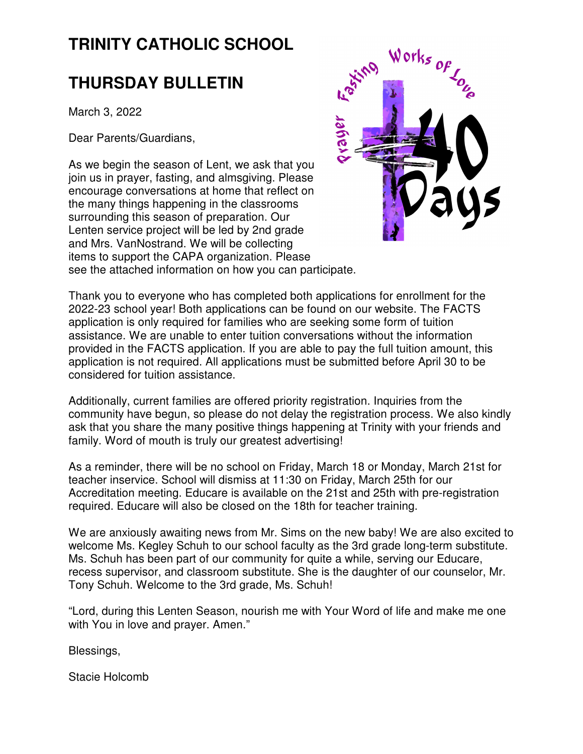# **TRINITY CATHOLIC SCHOOL**

# **THURSDAY BULLETIN**

March 3, 2022

Dear Parents/Guardians,

As we begin the season of Lent, we ask that you join us in prayer, fasting, and almsgiving. Please encourage conversations at home that reflect on the many things happening in the classrooms surrounding this season of preparation. Our Lenten service project will be led by 2nd grade and Mrs. VanNostrand. We will be collecting items to support the CAPA organization. Please see the attached information on how you can participate.



Thank you to everyone who has completed both applications for enrollment for the 2022-23 school year! Both applications can be found on our website. The FACTS application is only required for families who are seeking some form of tuition assistance. We are unable to enter tuition conversations without the information provided in the FACTS application. If you are able to pay the full tuition amount, this application is not required. All applications must be submitted before April 30 to be considered for tuition assistance.

Additionally, current families are offered priority registration. Inquiries from the community have begun, so please do not delay the registration process. We also kindly ask that you share the many positive things happening at Trinity with your friends and family. Word of mouth is truly our greatest advertising!

As a reminder, there will be no school on Friday, March 18 or Monday, March 21st for teacher inservice. School will dismiss at 11:30 on Friday, March 25th for our Accreditation meeting. Educare is available on the 21st and 25th with pre-registration required. Educare will also be closed on the 18th for teacher training.

We are anxiously awaiting news from Mr. Sims on the new baby! We are also excited to welcome Ms. Kegley Schuh to our school faculty as the 3rd grade long-term substitute. Ms. Schuh has been part of our community for quite a while, serving our Educare, recess supervisor, and classroom substitute. She is the daughter of our counselor, Mr. Tony Schuh. Welcome to the 3rd grade, Ms. Schuh!

"Lord, during this Lenten Season, nourish me with Your Word of life and make me one with You in love and prayer. Amen."

Blessings,

Stacie Holcomb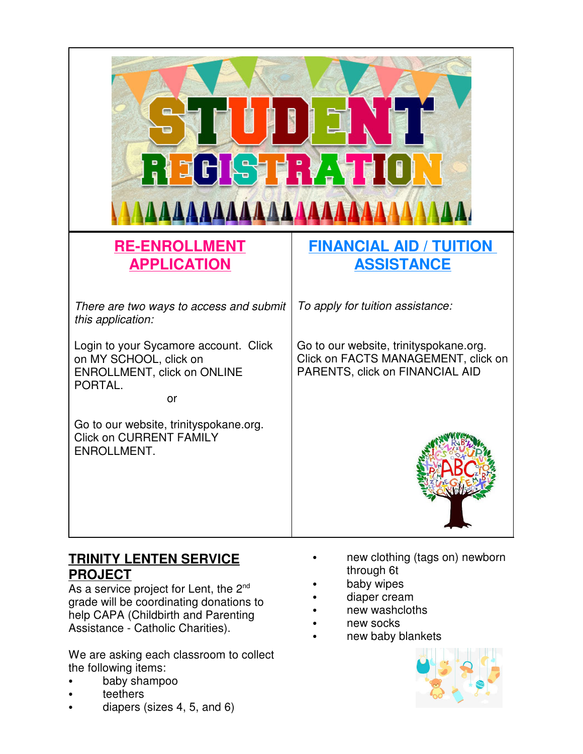

# **TRINITY LENTEN SERVICE PROJECT**

As a service project for Lent, the  $2^{nd}$ grade will be coordinating donations to help CAPA (Childbirth and Parenting Assistance - Catholic Charities).

We are asking each classroom to collect the following items:

- baby shampoo
- teethers
- diapers (sizes 4, 5, and 6)
- new clothing (tags on) newborn through 6t
- baby wipes
- diaper cream
- new washcloths
- new socks
- new baby blankets

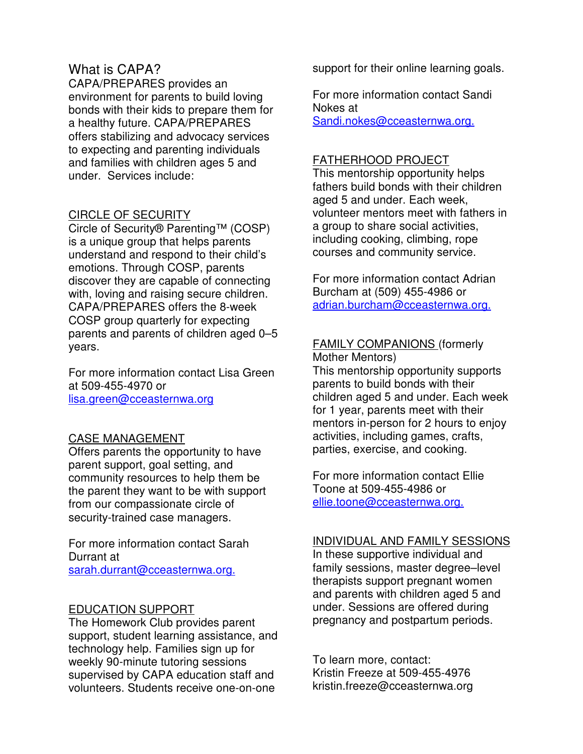#### What is CAPA?

CAPA/PREPARES provides an environment for parents to build loving bonds with their kids to prepare them for a healthy future. CAPA/PREPARES offers stabilizing and advocacy services to expecting and parenting individuals and families with children ages 5 and under. Services include:

#### CIRCLE OF SECURITY

Circle of Security® Parenting™ (COSP) is a unique group that helps parents understand and respond to their child's emotions. Through COSP, parents discover they are capable of connecting with, loving and raising secure children. CAPA/PREPARES offers the 8-week COSP group quarterly for expecting parents and parents of children aged 0–5 years.

For more information contact Lisa Green at 509-455-4970 or lisa.green@cceasternwa.org

#### CASE MANAGEMENT

Offers parents the opportunity to have parent support, goal setting, and community resources to help them be the parent they want to be with support from our compassionate circle of security-trained case managers.

For more information contact Sarah Durrant at sarah.durrant@cceasternwa.org.

#### EDUCATION SUPPORT

The Homework Club provides parent support, student learning assistance, and technology help. Families sign up for weekly 90-minute tutoring sessions supervised by CAPA education staff and volunteers. Students receive one-on-one

support for their online learning goals.

For more information contact Sandi Nokes at Sandi.nokes@cceasternwa.org.

#### FATHERHOOD PROJECT

This mentorship opportunity helps fathers build bonds with their children aged 5 and under. Each week, volunteer mentors meet with fathers in a group to share social activities, including cooking, climbing, rope courses and community service.

For more information contact Adrian Burcham at (509) 455-4986 or adrian.burcham@cceasternwa.org.

## FAMILY COMPANIONS (formerly

Mother Mentors) This mentorship opportunity supports parents to build bonds with their children aged 5 and under. Each week for 1 year, parents meet with their mentors in-person for 2 hours to enjoy activities, including games, crafts, parties, exercise, and cooking.

For more information contact Ellie Toone at 509-455-4986 or ellie.toone@cceasternwa.org.

#### INDIVIDUAL AND FAMILY SESSIONS

In these supportive individual and family sessions, master degree–level therapists support pregnant women and parents with children aged 5 and under. Sessions are offered during pregnancy and postpartum periods.

To learn more, contact: Kristin Freeze at 509-455-4976 kristin.freeze@cceasternwa.org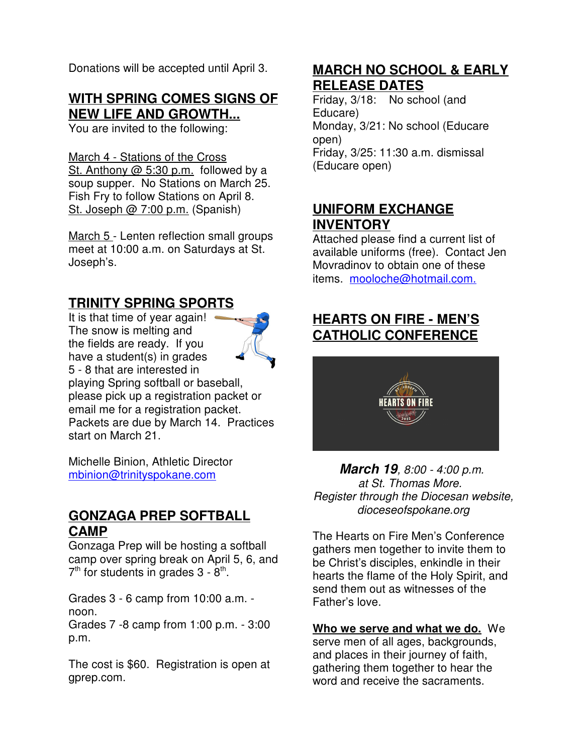Donations will be accepted until April 3.

### **WITH SPRING COMES SIGNS OF NEW LIFE AND GROWTH...**

You are invited to the following:

March 4 - Stations of the Cross St. Anthony @ 5:30 p.m. followed by a soup supper. No Stations on March 25. Fish Fry to follow Stations on April 8. St. Joseph @ 7:00 p.m. (Spanish)

March 5 - Lenten reflection small groups meet at 10:00 a.m. on Saturdays at St. Joseph's.

## **TRINITY SPRING SPORTS**

It is that time of year again! The snow is melting and the fields are ready. If you have a student(s) in grades 5 - 8 that are interested in playing Spring softball or baseball, please pick up a registration packet or email me for a registration packet. Packets are due by March 14. Practices start on March 21.

Michelle Binion, Athletic Director mbinion@trinityspokane.com

### **GONZAGA PREP SOFTBALL CAMP**

Gonzaga Prep will be hosting a softball camp over spring break on April 5, 6, and  $7<sup>th</sup>$  for students in grades 3 -  $8<sup>th</sup>$ .

Grades 3 - 6 camp from 10:00 a.m. noon.

Grades 7 -8 camp from 1:00 p.m. - 3:00 p.m.

The cost is \$60. Registration is open at gprep.com.

# **MARCH NO SCHOOL & EARLY RELEASE DATES**

Friday, 3/18: No school (and Educare) Monday, 3/21: No school (Educare open) Friday, 3/25: 11:30 a.m. dismissal (Educare open)

## **UNIFORM EXCHANGE INVENTORY**

Attached please find a current list of available uniforms (free). Contact Jen Movradinov to obtain one of these items. mooloche@hotmail.com.

# **HEARTS ON FIRE - MEN'S CATHOLIC CONFERENCE**



**March 19**, 8:00 - 4:00 p.m. at St. Thomas More. Register through the Diocesan website, dioceseofspokane.org

The Hearts on Fire Men's Conference gathers men together to invite them to be Christ's disciples, enkindle in their hearts the flame of the Holy Spirit, and send them out as witnesses of the Father's love.

#### **Who we serve and what we do.** We

serve men of all ages, backgrounds, and places in their journey of faith, gathering them together to hear the word and receive the sacraments.